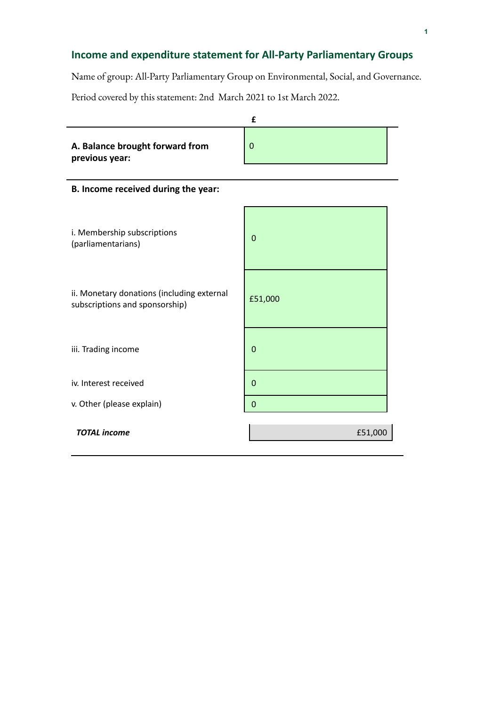## **Income and expenditure statement for All-Party Parliamentary Groups**

Name of group: All-Party Parliamentary Group on Environmental, Social, and Governance.

Period covered by this statement: 2nd March 2021 to 1st March 2022.

|                                                                              | £              |  |
|------------------------------------------------------------------------------|----------------|--|
| A. Balance brought forward from<br>previous year:                            | $\mathbf 0$    |  |
| B. Income received during the year:                                          |                |  |
| i. Membership subscriptions<br>(parliamentarians)                            | $\mathbf 0$    |  |
| ii. Monetary donations (including external<br>subscriptions and sponsorship) | £51,000        |  |
| iii. Trading income                                                          | $\overline{0}$ |  |
| iv. Interest received                                                        | $\mathbf 0$    |  |
| v. Other (please explain)                                                    | $\overline{0}$ |  |
| <b>TOTAL</b> income                                                          | £51,000        |  |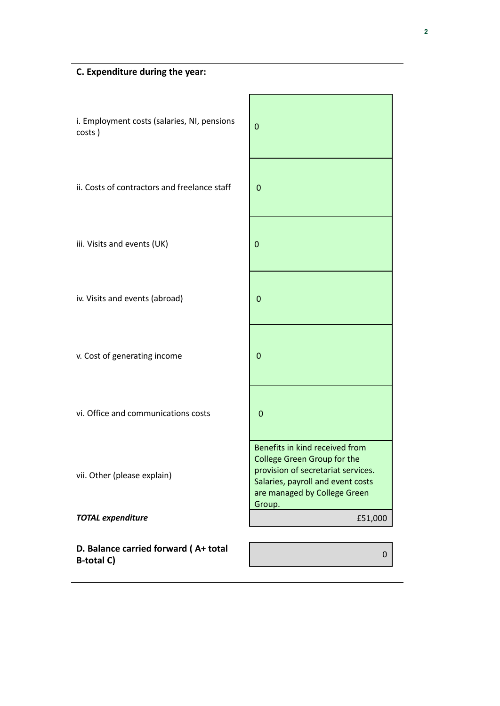| i. Employment costs (salaries, NI, pensions<br>costs)     | $\mathbf{0}$                                                                                                                                                                       |
|-----------------------------------------------------------|------------------------------------------------------------------------------------------------------------------------------------------------------------------------------------|
| ii. Costs of contractors and freelance staff              | $\mathbf 0$                                                                                                                                                                        |
| iii. Visits and events (UK)                               | $\mathbf 0$                                                                                                                                                                        |
| iv. Visits and events (abroad)                            | $\mathbf 0$                                                                                                                                                                        |
| v. Cost of generating income                              | 0                                                                                                                                                                                  |
| vi. Office and communications costs                       | $\overline{0}$                                                                                                                                                                     |
| vii. Other (please explain)                               | Benefits in kind received from<br>College Green Group for the<br>provision of secretariat services.<br>Salaries, payroll and event costs<br>are managed by College Green<br>Group. |
| <b>TOTAL expenditure</b>                                  | £51,000                                                                                                                                                                            |
| D. Balance carried forward (A+ total<br><b>B-total C)</b> | 0                                                                                                                                                                                  |